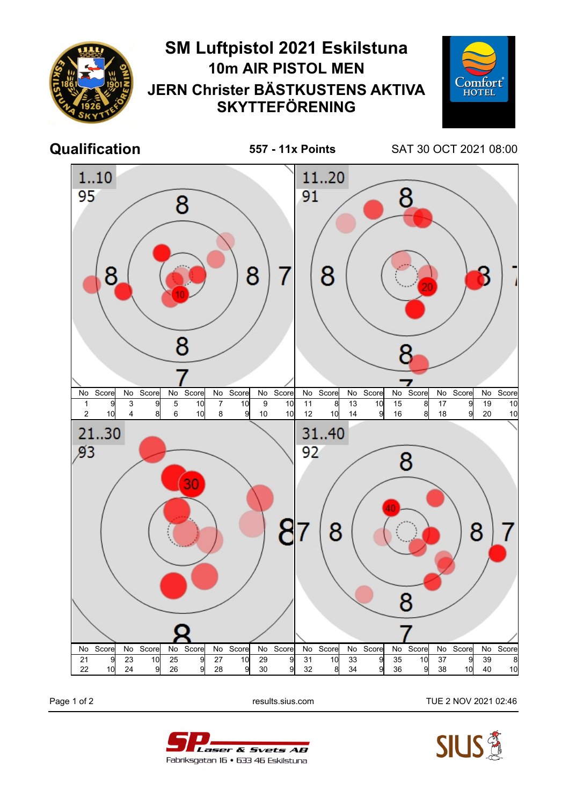

Page 1 of 2 **Page 1 of 2** results.sius.com TUE 2 NOV 2021 02:46